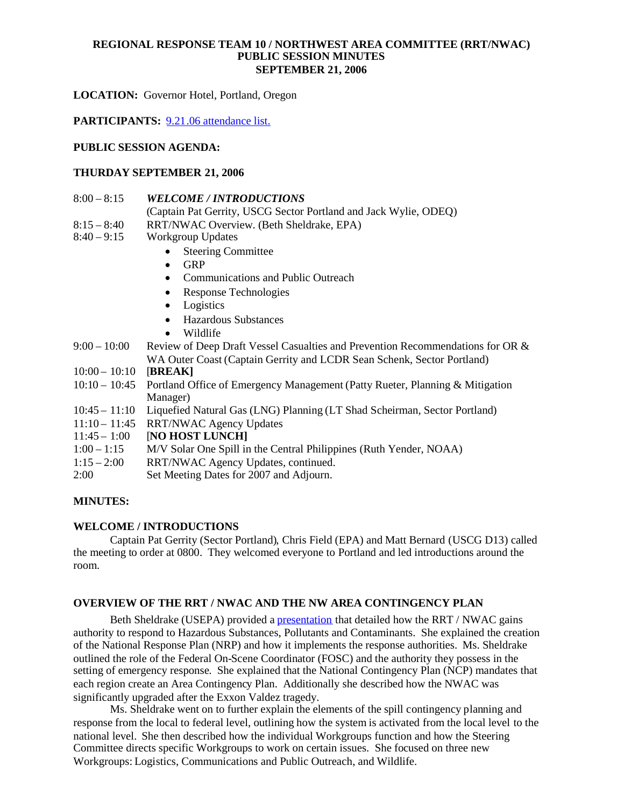## **REGIONAL RESPONSE TEAM 10 / NORTHWEST AREA COMMITTEE (RRT/NWAC) PUBLIC SESSION MINUTES SEPTEMBER 21, 2006**

**LOCATION:** Governor Hotel, Portland, Oregon

**PARTICIPANTS:** 9.21.06 attendance list.

### **PUBLIC SESSION AGENDA:**

#### **THURDAY SEPTEMBER 21, 2006**

#### 8:00 – 8:15 *WELCOME / INTRODUCTIONS*

- (Captain Pat Gerrity, USCG Sector Portland and Jack Wylie, ODEQ)
- 8:15 8:40 RRT/NWAC Overview. (Beth Sheldrake, EPA)
- 8:40 9:15 Workgroup Updates
	- Steering Committee
	- $\bullet$  GRP
	- Communications and Public Outreach
	- Response Technologies
	- Logistics
	- Hazardous Substances
	- Wildlife
- 9:00 10:00 Review of Deep Draft Vessel Casualties and Prevention Recommendations for OR & WA Outer Coast (Captain Gerrity and LCDR Sean Schenk, Sector Portland)
- 10:00 10:10 [**BREAK]**
- 10:10 10:45 Portland Office of Emergency Management (Patty Rueter, Planning & Mitigation Manager)
- 10:45 11:10 Liquefied Natural Gas (LNG) Planning (LT Shad Scheirman, Sector Portland)
- 11:10 11:45 RRT/NWAC Agency Updates

11:45 – 1:00 [**NO HOST LUNCH]**

- 1:00 1:15 M/V Solar One Spill in the Central Philippines (Ruth Yender, NOAA)
- 1:15 2:00 RRT/NWAC Agency Updates, continued.
- 2:00 Set Meeting Dates for 2007 and Adjourn.

## **MINUTES:**

#### **WELCOME / INTRODUCTIONS**

Captain Pat Gerrity (Sector Portland), Chris Field (EPA) and Matt Bernard (USCG D13) called the meeting to order at 0800. They welcomed everyone to Portland and led introductions around the room.

## **OVERVIEW OF THE RRT / NWAC AND THE NW AREA CONTINGENCY PLAN**

Beth Sheldrake (USEPA) provided a presentation that detailed how the RRT / NWAC gains authority to respond to Hazardous Substances, Pollutants and Contaminants. She explained the creation of the National Response Plan (NRP) and how it implements the response authorities. Ms. Sheldrake outlined the role of the Federal On-Scene Coordinator (FOSC) and the authority they possess in the setting of emergency response. She explained that the National Contingency Plan (NCP) mandates that each region create an Area Contingency Plan. Additionally she described how the NWAC was significantly upgraded after the Exxon Valdez tragedy.

Ms. Sheldrake went on to further explain the elements of the spill contingency planning and response from the local to federal level, outlining how the system is activated from the local level to the national level. She then described how the individual Workgroups function and how the Steering Committee directs specific Workgroups to work on certain issues. She focused on three new Workgroups: Logistics, Communications and Public Outreach, and Wildlife.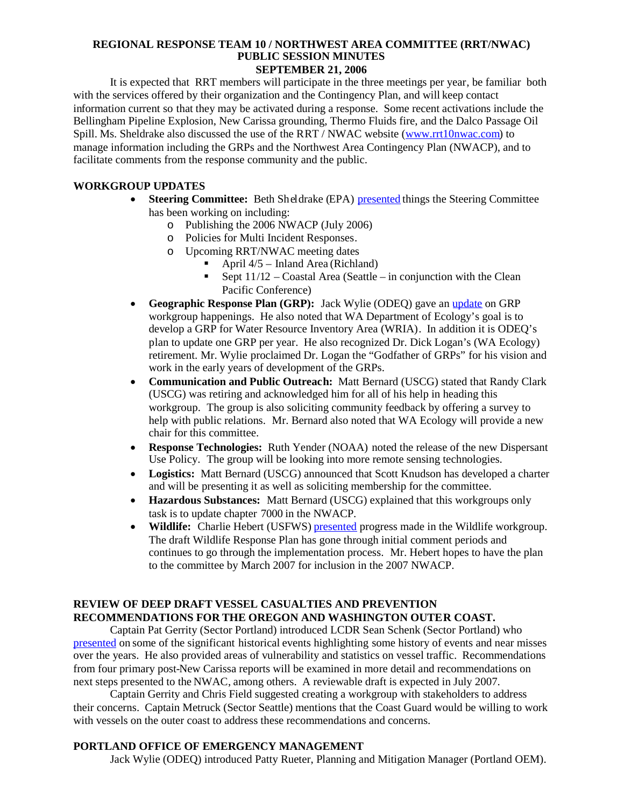# **REGIONAL RESPONSE TEAM 10 / NORTHWEST AREA COMMITTEE (RRT/NWAC) PUBLIC SESSION MINUTES**

**SEPTEMBER 21, 2006**

It is expected that RRT members will participate in the three meetings per year, be familiar both with the services offered by their organization and the Contingency Plan, and will keep contact information current so that they may be activated during a response. Some recent activations include the Bellingham Pipeline Explosion, New Carissa grounding, Thermo Fluids fire, and the Dalco Passage Oil Spill. Ms. Sheldrake also discussed the use of the RRT / NWAC website (www.rrt10nwac.com) to manage information including the GRPs and the Northwest Area Contingency Plan (NWACP), and to facilitate comments from the response community and the public.

# **WORKGROUP UPDATES**

- **Steering Committee:** Beth Sheldrake (EPA) presented things the Steering Committee has been working on including:
	- o Publishing the 2006 NWACP (July 2006)
	- o Policies for Multi Incident Responses.
	- o Upcoming RRT/NWAC meeting dates
		- April 4/5 Inland Area (Richland)
		- Sept  $11/12$  Coastal Area (Seattle in conjunction with the Clean Pacific Conference)
- **Geographic Response Plan (GRP):** Jack Wylie (ODEQ) gave an update on GRP workgroup happenings. He also noted that WA Department of Ecology's goal is to develop a GRP for Water Resource Inventory Area (WRIA). In addition it is ODEQ's plan to update one GRP per year. He also recognized Dr. Dick Logan's (WA Ecology) retirement. Mr. Wylie proclaimed Dr. Logan the "Godfather of GRPs" for his vision and work in the early years of development of the GRPs.
- **Communication and Public Outreach:** Matt Bernard (USCG) stated that Randy Clark (USCG) was retiring and acknowledged him for all of his help in heading this workgroup. The group is also soliciting community feedback by offering a survey to help with public relations. Mr. Bernard also noted that WA Ecology will provide a new chair for this committee.
- **Response Technologies:** Ruth Yender (NOAA) noted the release of the new Dispersant Use Policy. The group will be looking into more remote sensing technologies.
- **Logistics:** Matt Bernard (USCG) announced that Scott Knudson has developed a charter and will be presenting it as well as soliciting membership for the committee.
- **Hazardous Substances:** Matt Bernard (USCG) explained that this workgroups only task is to update chapter 7000 in the NWACP.
- Wildlife: Charlie Hebert (USFWS) presented progress made in the Wildlife workgroup. The draft Wildlife Response Plan has gone through initial comment periods and continues to go through the implementation process. Mr. Hebert hopes to have the plan to the committee by March 2007 for inclusion in the 2007 NWACP.

# **REVIEW OF DEEP DRAFT VESSEL CASUALTIES AND PREVENTION RECOMMENDATIONS FOR THE OREGON AND WASHINGTON OUTER COAST.**

Captain Pat Gerrity (Sector Portland) introduced LCDR Sean Schenk (Sector Portland) who presented on some of the significant historical events highlighting some history of events and near misses over the years. He also provided areas of vulnerability and statistics on vessel traffic. Recommendations from four primary post-New Carissa reports will be examined in more detail and recommendations on next steps presented to the NWAC, among others. A reviewable draft is expected in July 2007.

Captain Gerrity and Chris Field suggested creating a workgroup with stakeholders to address their concerns. Captain Metruck (Sector Seattle) mentions that the Coast Guard would be willing to work with vessels on the outer coast to address these recommendations and concerns.

# **PORTLAND OFFICE OF EMERGENCY MANAGEMENT**

Jack Wylie (ODEQ) introduced Patty Rueter, Planning and Mitigation Manager (Portland OEM).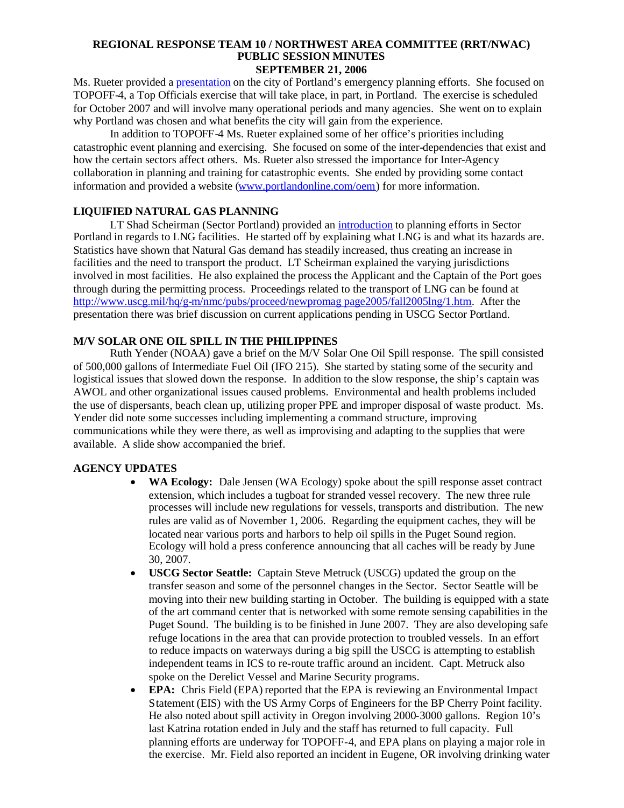#### **REGIONAL RESPONSE TEAM 10 / NORTHWEST AREA COMMITTEE (RRT/NWAC) PUBLIC SESSION MINUTES SEPTEMBER 21, 2006**

Ms. Rueter provided a presentation on the city of Portland's emergency planning efforts. She focused on TOPOFF-4, a Top Officials exercise that will take place, in part, in Portland. The exercise is scheduled for October 2007 and will involve many operational periods and many agencies. She went on to explain why Portland was chosen and what benefits the city will gain from the experience.

In addition to TOPOFF-4 Ms. Rueter explained some of her office's priorities including catastrophic event planning and exercising. She focused on some of the inter-dependencies that exist and how the certain sectors affect others. Ms. Rueter also stressed the importance for Inter-Agency collaboration in planning and training for catastrophic events. She ended by providing some contact information and provided a website (www.portlandonline.com/oem) for more information.

## **LIQUIFIED NATURAL GAS PLANNING**

LT Shad Scheirman (Sector Portland) provided an introduction to planning efforts in Sector Portland in regards to LNG facilities. He started off by explaining what LNG is and what its hazards are. Statistics have shown that Natural Gas demand has steadily increased, thus creating an increase in facilities and the need to transport the product. LT Scheirman explained the varying jurisdictions involved in most facilities. He also explained the process the Applicant and the Captain of the Port goes through during the permitting process. Proceedings related to the transport of LNG can be found at http://www.uscg.mil/hq/g-m/nmc/pubs/proceed/newpromag page2005/fall2005lng/1.htm. After the presentation there was brief discussion on current applications pending in USCG Sector Portland.

# **M/V SOLAR ONE OIL SPILL IN THE PHILIPPINES**

Ruth Yender (NOAA) gave a brief on the M/V Solar One Oil Spill response. The spill consisted of 500,000 gallons of Intermediate Fuel Oil (IFO 215). She started by stating some of the security and logistical issues that slowed down the response. In addition to the slow response, the ship's captain was AWOL and other organizational issues caused problems. Environmental and health problems included the use of dispersants, beach clean up, utilizing proper PPE and improper disposal of waste product. Ms. Yender did note some successes including implementing a command structure, improving communications while they were there, as well as improvising and adapting to the supplies that were available. A slide show accompanied the brief.

## **AGENCY UPDATES**

- **WA Ecology:** Dale Jensen (WA Ecology) spoke about the spill response asset contract extension, which includes a tugboat for stranded vessel recovery. The new three rule processes will include new regulations for vessels, transports and distribution. The new rules are valid as of November 1, 2006. Regarding the equipment caches, they will be located near various ports and harbors to help oil spills in the Puget Sound region. Ecology will hold a press conference announcing that all caches will be ready by June 30, 2007.
- **USCG Sector Seattle:** Captain Steve Metruck (USCG) updated the group on the transfer season and some of the personnel changes in the Sector. Sector Seattle will be moving into their new building starting in October. The building is equipped with a state of the art command center that is networked with some remote sensing capabilities in the Puget Sound. The building is to be finished in June 2007. They are also developing safe refuge locations in the area that can provide protection to troubled vessels. In an effort to reduce impacts on waterways during a big spill the USCG is attempting to establish independent teams in ICS to re-route traffic around an incident. Capt. Metruck also spoke on the Derelict Vessel and Marine Security programs.
- **EPA:** Chris Field (EPA) reported that the EPA is reviewing an Environmental Impact Statement (EIS) with the US Army Corps of Engineers for the BP Cherry Point facility. He also noted about spill activity in Oregon involving 2000-3000 gallons. Region 10's last Katrina rotation ended in July and the staff has returned to full capacity. Full planning efforts are underway for TOPOFF-4, and EPA plans on playing a major role in the exercise. Mr. Field also reported an incident in Eugene, OR involving drinking water